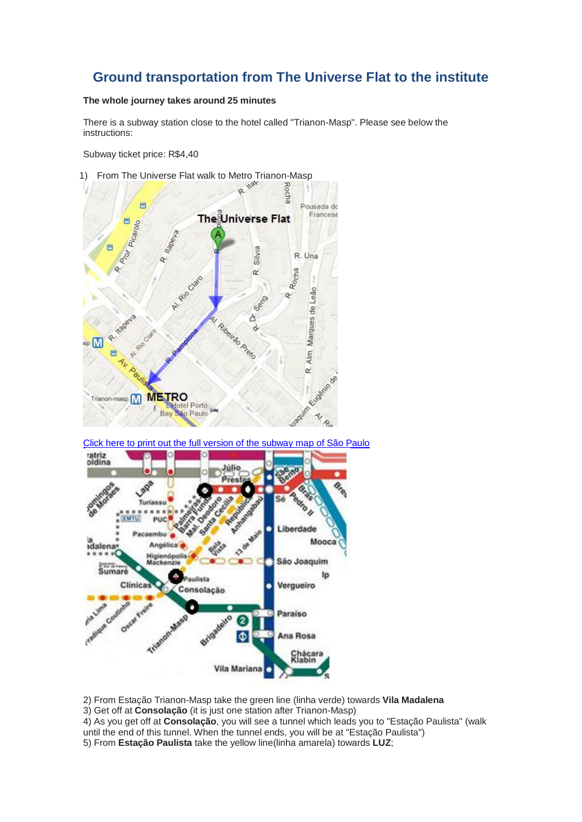## **Ground transportation from The Universe Flat to the institute**

## **The whole journey takes around 25 minutes**

There is a subway station close to the hotel called "Trianon-Masp". Please see below the instructions:

Subway ticket price: R\$4,40



[Click here to print out the full version of the subway map of São Paulo](http://200.145.112.247/wp-content/uploads/2011/08/metr%C3%B41.jpg)



2) From Estação Trianon-Masp take the green line (linha verde) towards **Vila Madalena**

3) Get off at **Consolação** (it is just one station after Trianon-Masp)

4) As you get off at **Consolação**, you will see a tunnel which leads you to "Estação Paulista" (walk

until the end of this tunnel. When the tunnel ends, you will be at "Estação Paulista")

5) From **Estação Paulista** take the yellow line(linha amarela) towards **LUZ**;